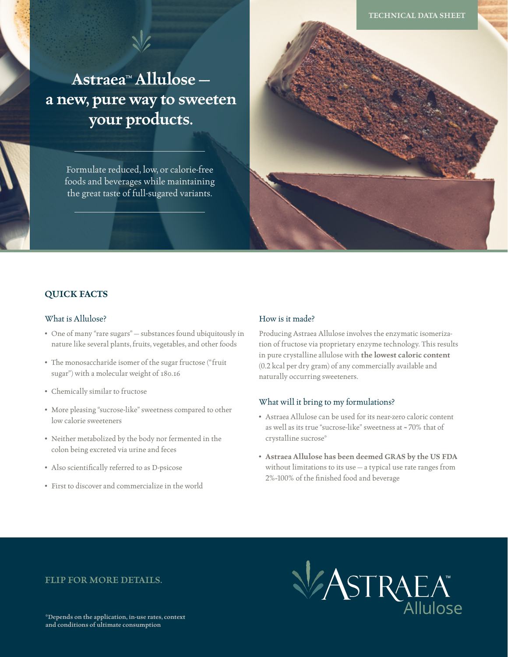**Astraea™ Allulose a new, pure way to sweeten your products.**

> Formulate reduced, low, or calorie-free foods and beverages while maintaining the great taste of full-sugared variants.



## **QUICK FACTS**

#### What is Allulose?

- One of many "rare sugars" substances found ubiquitously in nature like several plants, fruits, vegetables, and other foods
- The monosaccharide isomer of the sugar fructose ("fruit sugar") with a molecular weight of 180.16
- Chemically similar to fructose
- More pleasing "sucrose-like" sweetness compared to other low calorie sweeteners
- Neither metabolized by the body nor fermented in the colon being excreted via urine and feces
- Also scientifically referred to as D-psicose
- First to discover and commercialize in the world

### How is it made?

Producing Astraea Allulose involves the enzymatic isomerization of fructose via proprietary enzyme technology. This results in pure crystalline allulose with **the lowest caloric content** (0.2 kcal per dry gram) of any commercially available and naturally occurring sweeteners.

#### What will it bring to my formulations?

- Astraea Allulose can be used for its near-zero caloric content as well as its true "sucrose-like" sweetness at ~ 70% that of crystalline sucrose\*
- **Astraea Allulose has been deemed GRAS by the US FDA** without limitations to its use — a typical use rate ranges from 2%-100% of the finished food and beverage